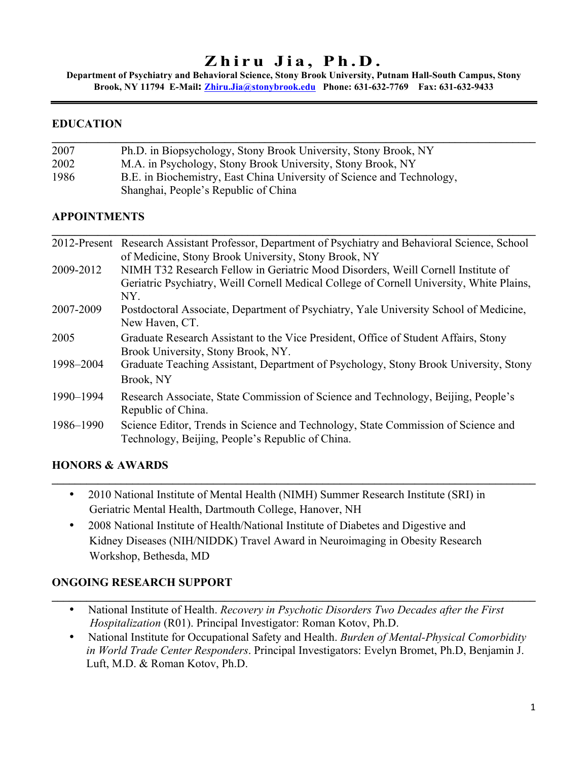# **Zhiru Jia, Ph.D.**

**Department of Psychiatry and Behavioral Science, Stony Brook University, Putnam Hall-South Campus, Stony Brook, NY 11794 E-Mail: Zhiru.Jia@stonybrook.edu Phone: 631-632-7769 Fax: 631-632-9433**

 $\mathcal{L}_\mathcal{L} = \mathcal{L}_\mathcal{L} = \mathcal{L}_\mathcal{L} = \mathcal{L}_\mathcal{L} = \mathcal{L}_\mathcal{L} = \mathcal{L}_\mathcal{L} = \mathcal{L}_\mathcal{L} = \mathcal{L}_\mathcal{L} = \mathcal{L}_\mathcal{L} = \mathcal{L}_\mathcal{L} = \mathcal{L}_\mathcal{L} = \mathcal{L}_\mathcal{L} = \mathcal{L}_\mathcal{L} = \mathcal{L}_\mathcal{L} = \mathcal{L}_\mathcal{L} = \mathcal{L}_\mathcal{L} = \mathcal{L}_\mathcal{L}$ 

## **EDUCATION**

| 2007 | Ph.D. in Biopsychology, Stony Brook University, Stony Brook, NY        |  |
|------|------------------------------------------------------------------------|--|
| 2002 | M.A. in Psychology, Stony Brook University, Stony Brook, NY            |  |
| 1986 | B.E. in Biochemistry, East China University of Science and Technology, |  |
|      | Shanghai, People's Republic of China                                   |  |

## **APPOINTMENTS**

|           | 2012-Present Research Assistant Professor, Department of Psychiatry and Behavioral Science, School      |
|-----------|---------------------------------------------------------------------------------------------------------|
|           | of Medicine, Stony Brook University, Stony Brook, NY                                                    |
| 2009-2012 | NIMH T32 Research Fellow in Geriatric Mood Disorders, Weill Cornell Institute of                        |
|           | Geriatric Psychiatry, Weill Cornell Medical College of Cornell University, White Plains,                |
|           | NY.                                                                                                     |
| 2007-2009 | Postdoctoral Associate, Department of Psychiatry, Yale University School of Medicine,<br>New Haven, CT. |
| 2005      | Graduate Research Assistant to the Vice President, Office of Student Affairs, Stony                     |
|           | Brook University, Stony Brook, NY.                                                                      |
| 1998-2004 | Graduate Teaching Assistant, Department of Psychology, Stony Brook University, Stony                    |
|           | Brook, NY                                                                                               |
| 1990-1994 | Research Associate, State Commission of Science and Technology, Beijing, People's                       |
|           | Republic of China.                                                                                      |
| 1986–1990 | Science Editor, Trends in Science and Technology, State Commission of Science and                       |
|           | Technology, Beijing, People's Republic of China.                                                        |

## **HONORS & AWARDS**

• 2010 National Institute of Mental Health (NIMH) Summer Research Institute (SRI) in Geriatric Mental Health, Dartmouth College, Hanover, NH

 $\mathcal{L}_\mathcal{L} = \mathcal{L}_\mathcal{L} = \mathcal{L}_\mathcal{L} = \mathcal{L}_\mathcal{L} = \mathcal{L}_\mathcal{L} = \mathcal{L}_\mathcal{L} = \mathcal{L}_\mathcal{L} = \mathcal{L}_\mathcal{L} = \mathcal{L}_\mathcal{L} = \mathcal{L}_\mathcal{L} = \mathcal{L}_\mathcal{L} = \mathcal{L}_\mathcal{L} = \mathcal{L}_\mathcal{L} = \mathcal{L}_\mathcal{L} = \mathcal{L}_\mathcal{L} = \mathcal{L}_\mathcal{L} = \mathcal{L}_\mathcal{L}$ 

• 2008 National Institute of Health/National Institute of Diabetes and Digestive and Kidney Diseases (NIH/NIDDK) Travel Award in Neuroimaging in Obesity Research Workshop, Bethesda, MD

## **ONGOING RESEARCH SUPPORT**

• National Institute of Health. *Recovery in Psychotic Disorders Two Decades after the First Hospitalization* (R01). Principal Investigator: Roman Kotov, Ph.D.

 $\mathcal{L}_\mathcal{L} = \mathcal{L}_\mathcal{L} = \mathcal{L}_\mathcal{L} = \mathcal{L}_\mathcal{L} = \mathcal{L}_\mathcal{L} = \mathcal{L}_\mathcal{L} = \mathcal{L}_\mathcal{L} = \mathcal{L}_\mathcal{L} = \mathcal{L}_\mathcal{L} = \mathcal{L}_\mathcal{L} = \mathcal{L}_\mathcal{L} = \mathcal{L}_\mathcal{L} = \mathcal{L}_\mathcal{L} = \mathcal{L}_\mathcal{L} = \mathcal{L}_\mathcal{L} = \mathcal{L}_\mathcal{L} = \mathcal{L}_\mathcal{L}$ 

• National Institute for Occupational Safety and Health. *Burden of Mental-Physical Comorbidity in World Trade Center Responders*. Principal Investigators: Evelyn Bromet, Ph.D, Benjamin J. Luft, M.D. & Roman Kotov, Ph.D.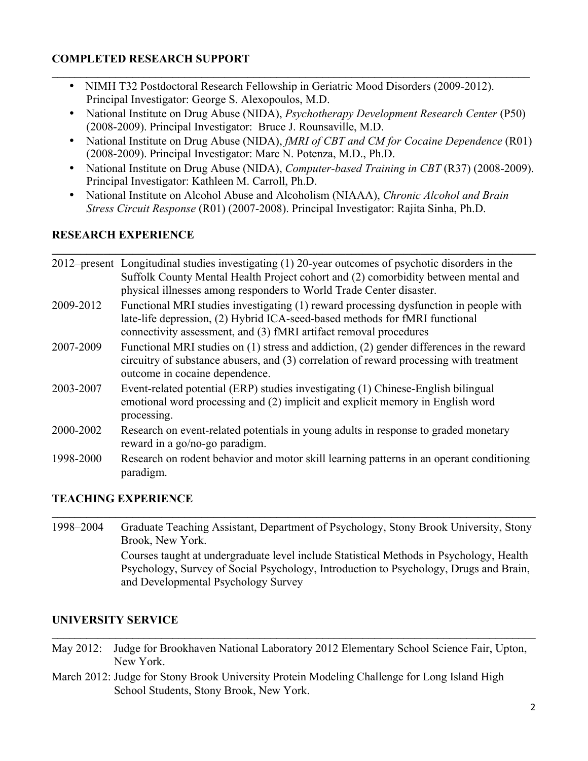## **COMPLETED RESEARCH SUPPORT**

• NIMH T32 Postdoctoral Research Fellowship in Geriatric Mood Disorders (2009-2012). Principal Investigator: George S. Alexopoulos, M.D.

 $\mathcal{L}_\mathcal{L} = \{ \mathcal{L}_\mathcal{L} = \{ \mathcal{L}_\mathcal{L} = \{ \mathcal{L}_\mathcal{L} = \{ \mathcal{L}_\mathcal{L} = \{ \mathcal{L}_\mathcal{L} = \{ \mathcal{L}_\mathcal{L} = \{ \mathcal{L}_\mathcal{L} = \{ \mathcal{L}_\mathcal{L} = \{ \mathcal{L}_\mathcal{L} = \{ \mathcal{L}_\mathcal{L} = \{ \mathcal{L}_\mathcal{L} = \{ \mathcal{L}_\mathcal{L} = \{ \mathcal{L}_\mathcal{L} = \{ \mathcal{L}_\mathcal{$ 

- National Institute on Drug Abuse (NIDA), *Psychotherapy Development Research Center* (P50) (2008-2009). Principal Investigator: Bruce J. Rounsaville, M.D.
- National Institute on Drug Abuse (NIDA), *fMRI of CBT and CM for Cocaine Dependence* (R01) (2008-2009). Principal Investigator: Marc N. Potenza, M.D., Ph.D.
- National Institute on Drug Abuse (NIDA), *Computer-based Training in CBT* (R37) (2008-2009). Principal Investigator: Kathleen M. Carroll, Ph.D.
- National Institute on Alcohol Abuse and Alcoholism (NIAAA), *Chronic Alcohol and Brain Stress Circuit Response* (R01) (2007-2008). Principal Investigator: Rajita Sinha, Ph.D.

 $\mathcal{L}_\mathcal{L} = \mathcal{L}_\mathcal{L} = \mathcal{L}_\mathcal{L} = \mathcal{L}_\mathcal{L} = \mathcal{L}_\mathcal{L} = \mathcal{L}_\mathcal{L} = \mathcal{L}_\mathcal{L} = \mathcal{L}_\mathcal{L} = \mathcal{L}_\mathcal{L} = \mathcal{L}_\mathcal{L} = \mathcal{L}_\mathcal{L} = \mathcal{L}_\mathcal{L} = \mathcal{L}_\mathcal{L} = \mathcal{L}_\mathcal{L} = \mathcal{L}_\mathcal{L} = \mathcal{L}_\mathcal{L} = \mathcal{L}_\mathcal{L}$ 

## **RESEARCH EXPERIENCE**

|           | 2012–present Longitudinal studies investigating (1) 20-year outcomes of psychotic disorders in the<br>Suffolk County Mental Health Project cohort and (2) comorbidity between mental and<br>physical illnesses among responders to World Trade Center disaster. |
|-----------|-----------------------------------------------------------------------------------------------------------------------------------------------------------------------------------------------------------------------------------------------------------------|
| 2009-2012 | Functional MRI studies investigating (1) reward processing dysfunction in people with<br>late-life depression, (2) Hybrid ICA-seed-based methods for fMRI functional<br>connectivity assessment, and (3) fMRI artifact removal procedures                       |
| 2007-2009 | Functional MRI studies on (1) stress and addiction, (2) gender differences in the reward<br>circuitry of substance abusers, and (3) correlation of reward processing with treatment<br>outcome in cocaine dependence.                                           |
| 2003-2007 | Event-related potential (ERP) studies investigating (1) Chinese-English bilingual<br>emotional word processing and (2) implicit and explicit memory in English word<br>processing.                                                                              |
| 2000-2002 | Research on event-related potentials in young adults in response to graded monetary<br>reward in a go/no-go paradigm.                                                                                                                                           |
| 1998-2000 | Research on rodent behavior and motor skill learning patterns in an operant conditioning<br>paradigm.                                                                                                                                                           |

## **TEACHING EXPERIENCE**

1998–2004 Graduate Teaching Assistant, Department of Psychology, Stony Brook University, Stony Brook, New York. Courses taught at undergraduate level include Statistical Methods in Psychology, Health Psychology, Survey of Social Psychology, Introduction to Psychology, Drugs and Brain, and Developmental Psychology Survey

 $\mathcal{L}_\mathcal{L} = \mathcal{L}_\mathcal{L} = \mathcal{L}_\mathcal{L} = \mathcal{L}_\mathcal{L} = \mathcal{L}_\mathcal{L} = \mathcal{L}_\mathcal{L} = \mathcal{L}_\mathcal{L} = \mathcal{L}_\mathcal{L} = \mathcal{L}_\mathcal{L} = \mathcal{L}_\mathcal{L} = \mathcal{L}_\mathcal{L} = \mathcal{L}_\mathcal{L} = \mathcal{L}_\mathcal{L} = \mathcal{L}_\mathcal{L} = \mathcal{L}_\mathcal{L} = \mathcal{L}_\mathcal{L} = \mathcal{L}_\mathcal{L}$ 

## **UNIVERSITY SERVICE**

May 2012: Judge for Brookhaven National Laboratory 2012 Elementary School Science Fair, Upton, New York.

 $\mathcal{L}_\mathcal{L} = \mathcal{L}_\mathcal{L} = \mathcal{L}_\mathcal{L} = \mathcal{L}_\mathcal{L} = \mathcal{L}_\mathcal{L} = \mathcal{L}_\mathcal{L} = \mathcal{L}_\mathcal{L} = \mathcal{L}_\mathcal{L} = \mathcal{L}_\mathcal{L} = \mathcal{L}_\mathcal{L} = \mathcal{L}_\mathcal{L} = \mathcal{L}_\mathcal{L} = \mathcal{L}_\mathcal{L} = \mathcal{L}_\mathcal{L} = \mathcal{L}_\mathcal{L} = \mathcal{L}_\mathcal{L} = \mathcal{L}_\mathcal{L}$ 

March 2012: Judge for Stony Brook University Protein Modeling Challenge for Long Island High School Students, Stony Brook, New York.